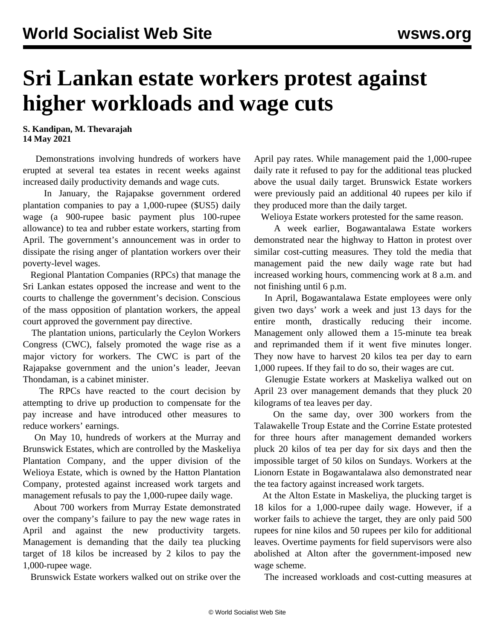## **Sri Lankan estate workers protest against higher workloads and wage cuts**

**S. Kandipan, M. Thevarajah 14 May 2021**

 Demonstrations involving hundreds of workers have erupted at several tea estates in recent weeks against increased daily productivity demands and wage cuts.

 In January, the Rajapakse government ordered plantation companies to pay a 1,000-rupee (\$US5) daily wage (a 900-rupee basic payment plus 100-rupee allowance) to tea and rubber estate workers, starting from April. The government's announcement was in order to dissipate the rising anger of plantation workers over their poverty-level wages.

 Regional Plantation Companies (RPCs) that manage the Sri Lankan estates opposed the increase and went to the courts to challenge the government's decision. Conscious of the mass opposition of plantation workers, the appeal court approved the government pay directive.

 The plantation unions, particularly the Ceylon Workers Congress (CWC), falsely promoted the wage rise as a major victory for workers. The CWC is part of the Rajapakse government and the union's leader, Jeevan Thondaman, is a cabinet minister.

 The RPCs have reacted to the court decision by attempting to drive up production to compensate for the pay increase and have introduced other measures to reduce workers' earnings.

 On May 10, hundreds of workers at the Murray and Brunswick Estates, which are controlled by the Maskeliya Plantation Company, and the upper division of the Welioya Estate, which is owned by the Hatton Plantation Company, protested against increased work targets and management refusals to pay the 1,000-rupee daily wage.

 About 700 workers from Murray Estate demonstrated over the company's failure to pay the new wage rates in April and against the new productivity targets. Management is demanding that the daily tea plucking target of 18 kilos be increased by 2 kilos to pay the 1,000-rupee wage.

Brunswick Estate workers walked out on strike over the

April pay rates. While management paid the 1,000-rupee daily rate it refused to pay for the additional teas plucked above the usual daily target. Brunswick Estate workers were previously paid an additional 40 rupees per kilo if they produced more than the daily target.

Welioya Estate workers protested for the same reason.

 A week earlier, Bogawantalawa Estate workers demonstrated near the highway to Hatton in protest over similar cost-cutting measures. They told the media that management paid the new daily wage rate but had increased working hours, commencing work at 8 a.m. and not finishing until 6 p.m.

 In April, Bogawantalawa Estate employees were only given two days' work a week and just 13 days for the entire month, drastically reducing their income. Management only allowed them a 15-minute tea break and reprimanded them if it went five minutes longer. They now have to harvest 20 kilos tea per day to earn 1,000 rupees. If they fail to do so, their wages are cut.

 Glenugie Estate workers at Maskeliya walked out on April 23 over management demands that they pluck 20 kilograms of tea leaves per day.

 On the same day, over 300 workers from the Talawakelle Troup Estate and the Corrine Estate protested for three hours after management demanded workers pluck 20 kilos of tea per day for six days and then the impossible target of 50 kilos on Sundays. Workers at the Lionorn Estate in Bogawantalawa also demonstrated near the tea factory against increased work targets.

 At the Alton Estate in Maskeliya, the plucking target is 18 kilos for a 1,000-rupee daily wage. However, if a worker fails to achieve the target, they are only paid 500 rupees for nine kilos and 50 rupees per kilo for additional leaves. Overtime payments for field supervisors were also abolished at Alton after the government-imposed new wage scheme.

The increased workloads and cost-cutting measures at